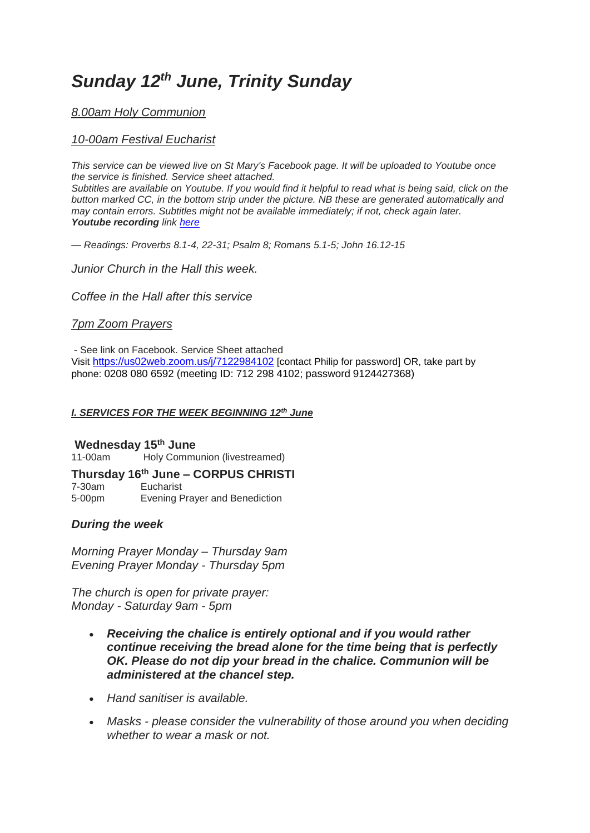# *Sunday 12th June, Trinity Sunday*

# *8.00am Holy Communion*

# *10-00am Festival Eucharist*

*This service can be viewed live on St Mary's Facebook page. It will be uploaded to Youtube once the service is finished. Service sheet attached.*

*Subtitles are available on Youtube. If you would find it helpful to read what is being said, click on the button marked CC, in the bottom strip under the picture. NB these are generated automatically and may contain errors. Subtitles might not be available immediately; if not, check again later. Youtube recording link [here](https://www.youtube.com/channel/UCoEfGw89pMsshgD7aX5-R3A)*

*— Readings: Proverbs 8.1-4, 22-31; Psalm 8; Romans 5.1-5; John 16.12-15*

*Junior Church in the Hall this week.*

*Coffee in the Hall after this service*

# *7pm Zoom Prayers*

- See link on Facebook. Service Sheet attached Visit <https://us02web.zoom.us/j/7122984102> [contact Philip for password] OR, take part by phone: 0208 080 6592 (meeting ID: 712 298 4102; password 9124427368)

## *I. SERVICES FOR THE WEEK BEGINNING 12th June*

## **Wednesday 15th June**

11-00am Holy Communion (livestreamed)

## **Thursday 16th June – CORPUS CHRISTI**

7-30am Eucharist 5-00pm Evening Prayer and Benediction

# *During the week*

*Morning Prayer Monday – Thursday 9am Evening Prayer Monday - Thursday 5pm*

*The church is open for private prayer: Monday - Saturday 9am - 5pm*

- *Receiving the chalice is entirely optional and if you would rather continue receiving the bread alone for the time being that is perfectly OK. Please do not dip your bread in the chalice. Communion will be administered at the chancel step.*
- *Hand sanitiser is available.*
- *Masks - please consider the vulnerability of those around you when deciding whether to wear a mask or not.*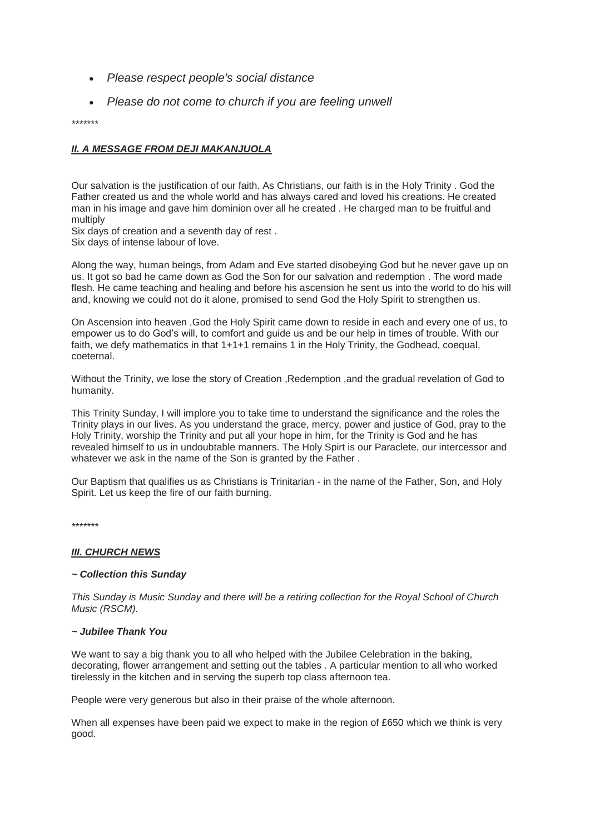- *Please respect people's social distance*
- *Please do not come to church if you are feeling unwell*

*\*\*\*\*\*\*\**

## *II. A MESSAGE FROM DEJI MAKANJUOLA*

Our salvation is the justification of our faith. As Christians, our faith is in the Holy Trinity . God the Father created us and the whole world and has always cared and loved his creations. He created man in his image and gave him dominion over all he created . He charged man to be fruitful and multiply

Six days of creation and a seventh day of rest .

Six days of intense labour of love.

Along the way, human beings, from Adam and Eve started disobeying God but he never gave up on us. It got so bad he came down as God the Son for our salvation and redemption . The word made flesh. He came teaching and healing and before his ascension he sent us into the world to do his will and, knowing we could not do it alone, promised to send God the Holy Spirit to strengthen us.

On Ascension into heaven ,God the Holy Spirit came down to reside in each and every one of us, to empower us to do God's will, to comfort and guide us and be our help in times of trouble. With our faith, we defy mathematics in that  $1+1+1$  remains 1 in the Holy Trinity, the Godhead, coequal, coeternal.

Without the Trinity, we lose the story of Creation , Redemption , and the gradual revelation of God to humanity.

This Trinity Sunday, I will implore you to take time to understand the significance and the roles the Trinity plays in our lives. As you understand the grace, mercy, power and justice of God, pray to the Holy Trinity, worship the Trinity and put all your hope in him, for the Trinity is God and he has revealed himself to us in undoubtable manners. The Holy Spirt is our Paraclete, our intercessor and whatever we ask in the name of the Son is granted by the Father .

Our Baptism that qualifies us as Christians is Trinitarian - in the name of the Father, Son, and Holy Spirit. Let us keep the fire of our faith burning.

*\*\*\*\*\*\*\**

#### *III. CHURCH NEWS*

#### *~ Collection this Sunday*

*This Sunday is Music Sunday and there will be a retiring collection for the Royal School of Church Music (RSCM).*

#### *~ Jubilee Thank You*

We want to say a big thank you to all who helped with the Jubilee Celebration in the baking, decorating, flower arrangement and setting out the tables . A particular mention to all who worked tirelessly in the kitchen and in serving the superb top class afternoon tea.

People were very generous but also in their praise of the whole afternoon.

When all expenses have been paid we expect to make in the region of £650 which we think is very good.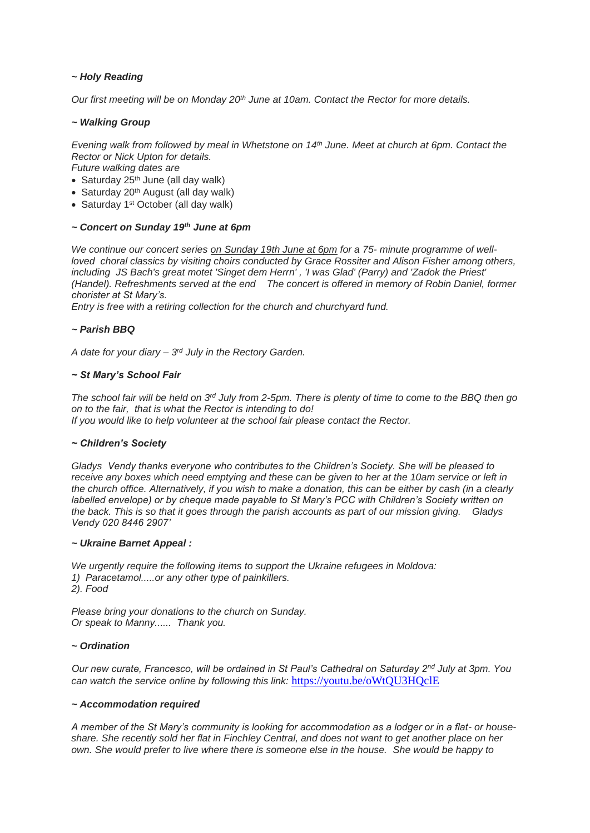### *~ Holy Reading*

*Our first meeting will be on Monday 20th June at 10am. Contact the Rector for more details.*

#### *~ Walking Group*

*Evening walk from followed by meal in Whetstone on 14th June. Meet at church at 6pm. Contact the Rector or Nick Upton for details.*

*Future walking dates are*

- Saturday  $25<sup>th</sup>$  June (all day walk)
- $\bullet$  Saturday 20<sup>th</sup> August (all day walk)
- Saturday 1<sup>st</sup> October (all day walk)

### *~ Concert on Sunday 19th June at 6pm*

*We continue our concert series on Sunday 19th June at 6pm for a 75- minute programme of wellloved choral classics by visiting choirs conducted by Grace Rossiter and Alison Fisher among others, including JS Bach's great motet 'Singet dem Herrn' , 'I was Glad' (Parry) and 'Zadok the Priest' (Handel). Refreshments served at the end The concert is offered in memory of Robin Daniel, former chorister at St Mary's.* 

*Entry is free with a retiring collection for the church and churchyard fund.*

#### *~ Parish BBQ*

*A date for your diary – 3 rd July in the Rectory Garden.*

#### *~ St Mary's School Fair*

*The school fair will be held on 3rd July from 2-5pm. There is plenty of time to come to the BBQ then go on to the fair, that is what the Rector is intending to do! If you would like to help volunteer at the school fair please contact the Rector.*

#### *~ Children's Society*

*Gladys Vendy thanks everyone who contributes to the Children's Society. She will be pleased to receive any boxes which need emptying and these can be given to her at the 10am service or left in the church office. Alternatively, if you wish to make a donation, this can be either by cash (in a clearly labelled envelope) or by cheque made payable to St Mary's PCC with Children's Society written on the back. This is so that it goes through the parish accounts as part of our mission giving. Gladys Vendy 020 8446 2907'*

#### *~ Ukraine Barnet Appeal :*

*We urgently require the following items to support the Ukraine refugees in Moldova: 1) Paracetamol.....or any other type of painkillers. 2). Food*

*Please bring your donations to the church on Sunday. Or speak to Manny...... Thank you.*

#### *~ Ordination*

*Our new curate, Francesco, will be ordained in St Paul's Cathedral on Saturday 2nd July at 3pm. You can watch the service online by following this link:* <https://youtu.be/oWtQU3HQclE>

#### *~ Accommodation required*

*A member of the St Mary's community is looking for accommodation as a lodger or in a flat- or houseshare. She recently sold her flat in Finchley Central, and does not want to get another place on her own. She would prefer to live where there is someone else in the house. She would be happy to*